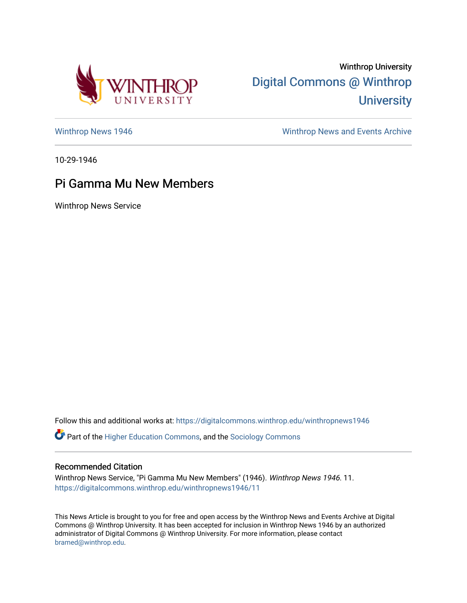

Winthrop University [Digital Commons @ Winthrop](https://digitalcommons.winthrop.edu/)  **University** 

[Winthrop News 1946](https://digitalcommons.winthrop.edu/winthropnews1946) Minthrop News and Events Archive

10-29-1946

## Pi Gamma Mu New Members

Winthrop News Service

Follow this and additional works at: [https://digitalcommons.winthrop.edu/winthropnews1946](https://digitalcommons.winthrop.edu/winthropnews1946?utm_source=digitalcommons.winthrop.edu%2Fwinthropnews1946%2F11&utm_medium=PDF&utm_campaign=PDFCoverPages)  Part of the [Higher Education Commons,](http://network.bepress.com/hgg/discipline/1245?utm_source=digitalcommons.winthrop.edu%2Fwinthropnews1946%2F11&utm_medium=PDF&utm_campaign=PDFCoverPages) and the [Sociology Commons](http://network.bepress.com/hgg/discipline/416?utm_source=digitalcommons.winthrop.edu%2Fwinthropnews1946%2F11&utm_medium=PDF&utm_campaign=PDFCoverPages)

## Recommended Citation

Winthrop News Service, "Pi Gamma Mu New Members" (1946). Winthrop News 1946. 11. [https://digitalcommons.winthrop.edu/winthropnews1946/11](https://digitalcommons.winthrop.edu/winthropnews1946/11?utm_source=digitalcommons.winthrop.edu%2Fwinthropnews1946%2F11&utm_medium=PDF&utm_campaign=PDFCoverPages)

This News Article is brought to you for free and open access by the Winthrop News and Events Archive at Digital Commons @ Winthrop University. It has been accepted for inclusion in Winthrop News 1946 by an authorized administrator of Digital Commons @ Winthrop University. For more information, please contact [bramed@winthrop.edu.](mailto:bramed@winthrop.edu)